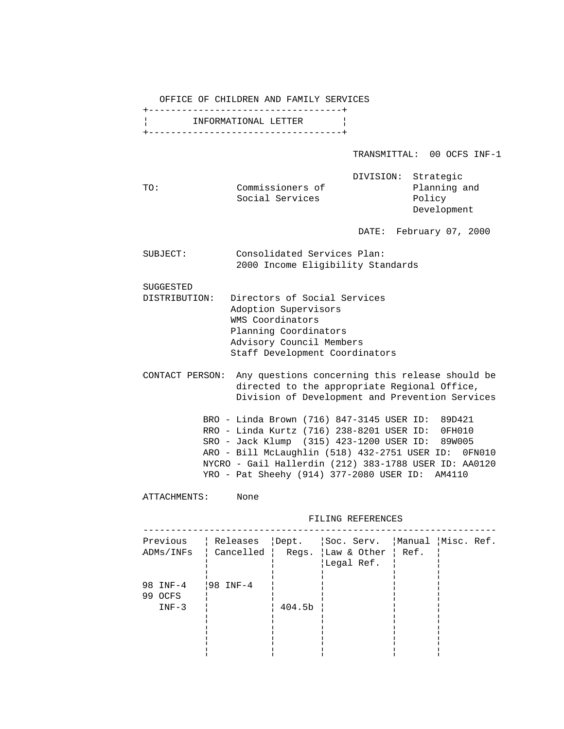OFFICE OF CHILDREN AND FAMILY SERVICES

|                      | +------------------------------------- |
|----------------------|----------------------------------------|
| INFORMATIONAL LETTER |                                        |
|                      | +------------------------------------- |

TRANSMITTAL: 00 OCFS INF-1

|     |                  | DIVISION: Strategic |            |
|-----|------------------|---------------------|------------|
| TO: | Commissioners of |                     | Planning a |
|     | Social Services  |                     | Policy     |

anning and Development

DATE: February 07, 2000

| SUBJECT: | Consolidated Services Plan:       |
|----------|-----------------------------------|
|          | 2000 Income Eligibility Standards |

SUGGESTED

- DISTRIBUTION: Directors of Social Services Adoption Supervisors WMS Coordinators Planning Coordinators Advisory Council Members Staff Development Coordinators
- CONTACT PERSON: Any questions concerning this release should be directed to the appropriate Regional Office, Division of Development and Prevention Services

 BRO - Linda Brown (716) 847-3145 USER ID: 89D421 RRO - Linda Kurtz (716) 238-8201 USER ID: 0FH010 SRO - Jack Klump (315) 423-1200 USER ID: 89W005 ARO - Bill McLaughlin (518) 432-2751 USER ID: 0FN010 NYCRO - Gail Hallerdin (212) 383-1788 USER ID: AA0120 YRO - Pat Sheehy (914) 377-2080 USER ID: AM4110

ATTACHMENTS: None

FILING REFERENCES

| Previous<br>ADMs/INFs                     |        | Releases   Dept.   Soc. Serv.   Manual   Misc. Ref.<br>  Cancelled   Regs.  Law & Other   Ref.<br>Legal Ref. |  |
|-------------------------------------------|--------|--------------------------------------------------------------------------------------------------------------|--|
| 98 INF-4   98 INF-4<br>99 OCFS<br>$INF-3$ | 404.5b |                                                                                                              |  |
|                                           |        |                                                                                                              |  |